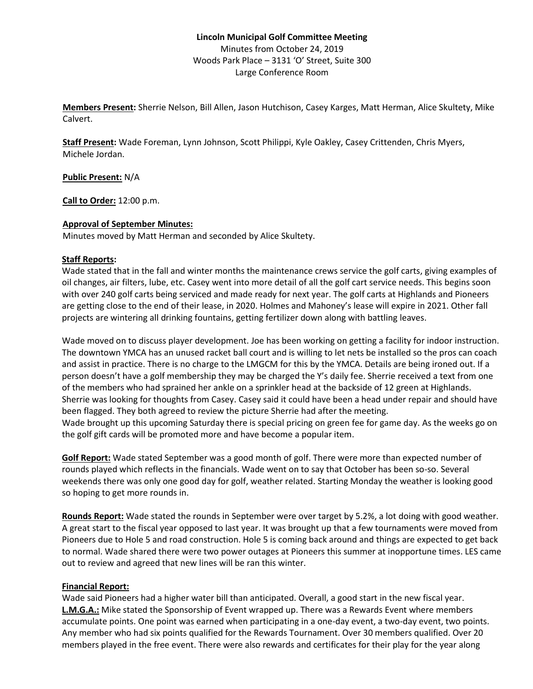# **Lincoln Municipal Golf Committee Meeting** Minutes from October 24, 2019 Woods Park Place – 3131 'O' Street, Suite 300 Large Conference Room

**Members Present:** Sherrie Nelson, Bill Allen, Jason Hutchison, Casey Karges, Matt Herman, Alice Skultety, Mike Calvert.

**Staff Present:** Wade Foreman, Lynn Johnson, Scott Philippi, Kyle Oakley, Casey Crittenden, Chris Myers, Michele Jordan.

**Public Present:** N/A

**Call to Order:** 12:00 p.m.

### **Approval of September Minutes:**

Minutes moved by Matt Herman and seconded by Alice Skultety.

### **Staff Reports:**

Wade stated that in the fall and winter months the maintenance crews service the golf carts, giving examples of oil changes, air filters, lube, etc. Casey went into more detail of all the golf cart service needs. This begins soon with over 240 golf carts being serviced and made ready for next year. The golf carts at Highlands and Pioneers are getting close to the end of their lease, in 2020. Holmes and Mahoney's lease will expire in 2021. Other fall projects are wintering all drinking fountains, getting fertilizer down along with battling leaves.

Wade moved on to discuss player development. Joe has been working on getting a facility for indoor instruction. The downtown YMCA has an unused racket ball court and is willing to let nets be installed so the pros can coach and assist in practice. There is no charge to the LMGCM for this by the YMCA. Details are being ironed out. If a person doesn't have a golf membership they may be charged the Y's daily fee. Sherrie received a text from one of the members who had sprained her ankle on a sprinkler head at the backside of 12 green at Highlands. Sherrie was looking for thoughts from Casey. Casey said it could have been a head under repair and should have been flagged. They both agreed to review the picture Sherrie had after the meeting. Wade brought up this upcoming Saturday there is special pricing on green fee for game day. As the weeks go on the golf gift cards will be promoted more and have become a popular item.

**Golf Report:** Wade stated September was a good month of golf. There were more than expected number of rounds played which reflects in the financials. Wade went on to say that October has been so-so. Several weekends there was only one good day for golf, weather related. Starting Monday the weather is looking good so hoping to get more rounds in.

**Rounds Report:** Wade stated the rounds in September were over target by 5.2%, a lot doing with good weather. A great start to the fiscal year opposed to last year. It was brought up that a few tournaments were moved from Pioneers due to Hole 5 and road construction. Hole 5 is coming back around and things are expected to get back to normal. Wade shared there were two power outages at Pioneers this summer at inopportune times. LES came out to review and agreed that new lines will be ran this winter.

# **Financial Report:**

Wade said Pioneers had a higher water bill than anticipated. Overall, a good start in the new fiscal year. **L.M.G.A.:** Mike stated the Sponsorship of Event wrapped up. There was a Rewards Event where members accumulate points. One point was earned when participating in a one-day event, a two-day event, two points. Any member who had six points qualified for the Rewards Tournament. Over 30 members qualified. Over 20 members played in the free event. There were also rewards and certificates for their play for the year along